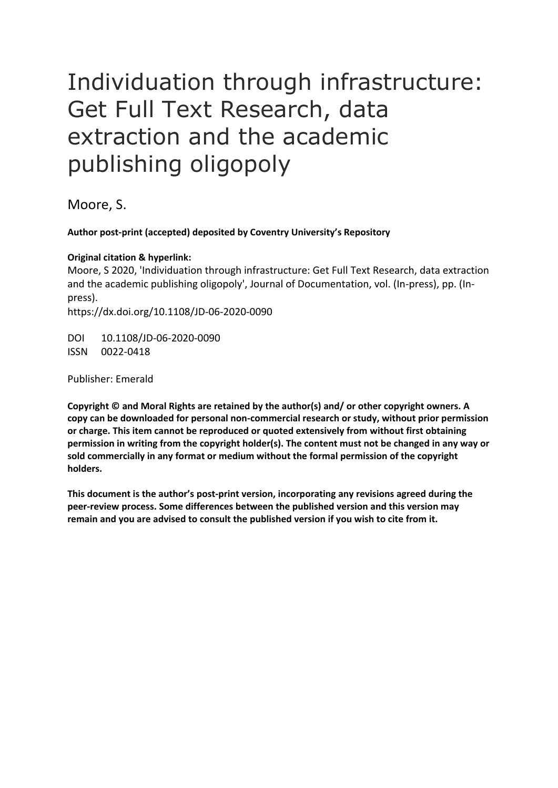## Individuation through infrastructure: Get Full Text Research, data extraction and the academic publishing oligopoly

Moore, S.

## **Author post-print (accepted) deposited by Coventry University's Repository**

## **Original citation & hyperlink:**

Moore, S 2020, 'Individuation through infrastructure: Get Full Text Research, data extraction and the academic publishing oligopoly', Journal of Documentation, vol. (In-press), pp. (Inpress). https://dx.doi.org/10.1108/JD-06-2020-0090

DOI 10.1108/JD-06-2020-0090 ISSN 0022-0418

Publisher: Emerald

**Copyright © and Moral Rights are retained by the author(s) and/ or other copyright owners. A copy can be downloaded for personal non-commercial research or study, without prior permission or charge. This item cannot be reproduced or quoted extensively from without first obtaining permission in writing from the copyright holder(s). The content must not be changed in any way or sold commercially in any format or medium without the formal permission of the copyright holders.** 

**This document is the author's post-print version, incorporating any revisions agreed during the peer-review process. Some differences between the published version and this version may remain and you are advised to consult the published version if you wish to cite from it.**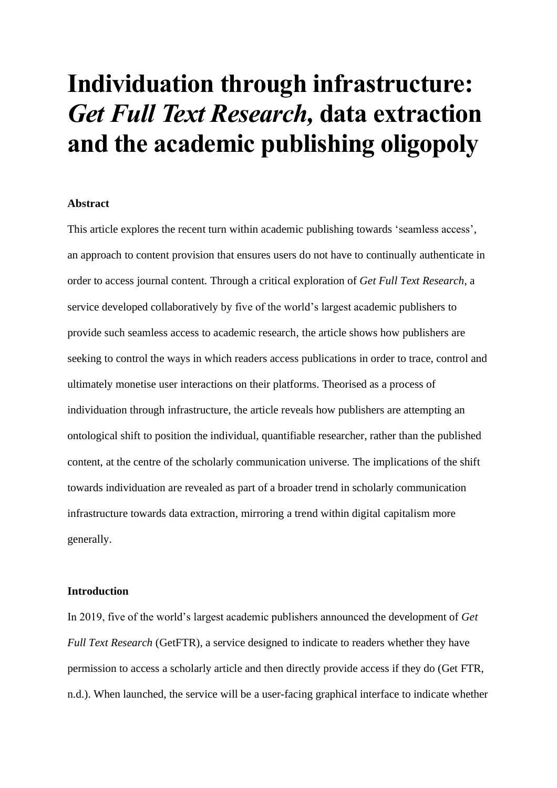# **Individuation through infrastructure:**  *Get Full Text Research,* **data extraction and the academic publishing oligopoly**

#### **Abstract**

This article explores the recent turn within academic publishing towards 'seamless access', an approach to content provision that ensures users do not have to continually authenticate in order to access journal content. Through a critical exploration of *Get Full Text Research*, a service developed collaboratively by five of the world's largest academic publishers to provide such seamless access to academic research, the article shows how publishers are seeking to control the ways in which readers access publications in order to trace, control and ultimately monetise user interactions on their platforms. Theorised as a process of individuation through infrastructure, the article reveals how publishers are attempting an ontological shift to position the individual, quantifiable researcher, rather than the published content, at the centre of the scholarly communication universe. The implications of the shift towards individuation are revealed as part of a broader trend in scholarly communication infrastructure towards data extraction, mirroring a trend within digital capitalism more generally.

### **Introduction**

In 2019, five of the world's largest academic publishers announced the development of *Get Full Text Research* (GetFTR), a service designed to indicate to readers whether they have permission to access a scholarly article and then directly provide access if they do (Get FTR, n.d.). When launched, the service will be a user-facing graphical interface to indicate whether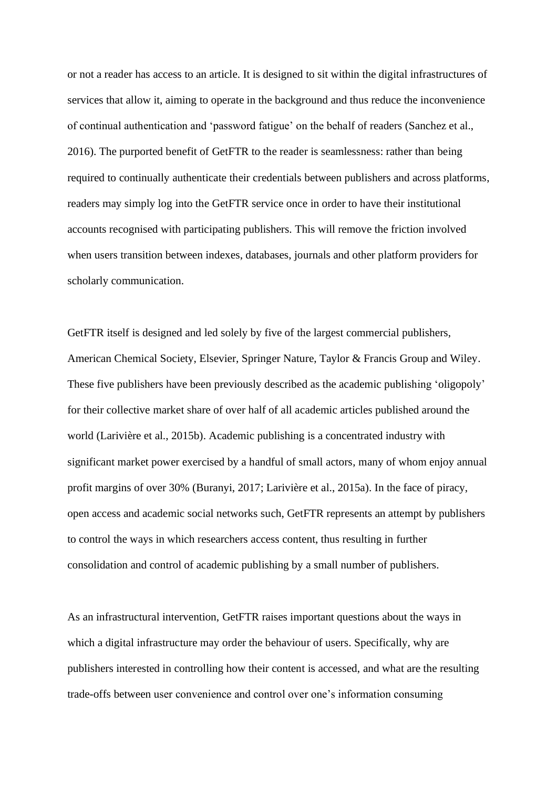or not a reader has access to an article. It is designed to sit within the digital infrastructures of services that allow it, aiming to operate in the background and thus reduce the inconvenience of continual authentication and 'password fatigue' on the behalf of readers (Sanchez et al., 2016). The purported benefit of GetFTR to the reader is seamlessness: rather than being required to continually authenticate their credentials between publishers and across platforms, readers may simply log into the GetFTR service once in order to have their institutional accounts recognised with participating publishers. This will remove the friction involved when users transition between indexes, databases, journals and other platform providers for scholarly communication.

GetFTR itself is designed and led solely by five of the largest commercial publishers, American Chemical Society, Elsevier, Springer Nature, Taylor & Francis Group and Wiley. These five publishers have been previously described as the academic publishing 'oligopoly' for their collective market share of over half of all academic articles published around the world (Larivière et al., 2015b). Academic publishing is a concentrated industry with significant market power exercised by a handful of small actors, many of whom enjoy annual profit margins of over 30% (Buranyi, 2017; Larivière et al., 2015a). In the face of piracy, open access and academic social networks such, GetFTR represents an attempt by publishers to control the ways in which researchers access content, thus resulting in further consolidation and control of academic publishing by a small number of publishers.

As an infrastructural intervention, GetFTR raises important questions about the ways in which a digital infrastructure may order the behaviour of users. Specifically, why are publishers interested in controlling how their content is accessed, and what are the resulting trade-offs between user convenience and control over one's information consuming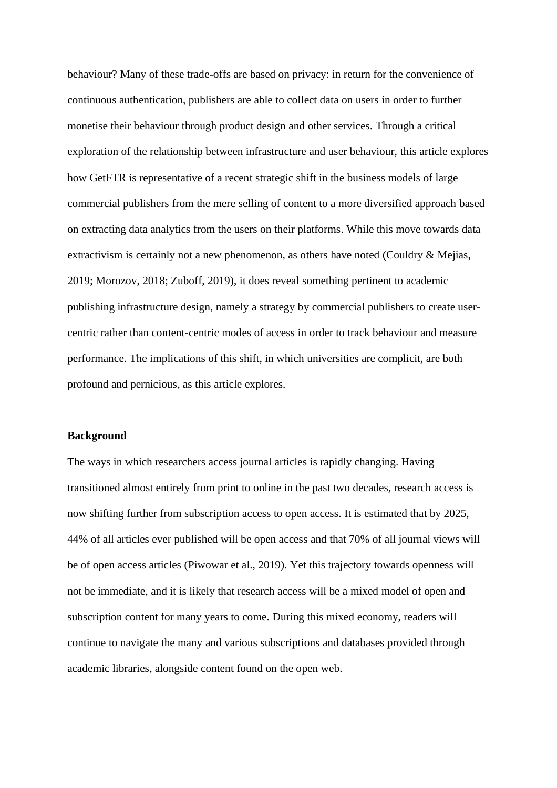behaviour? Many of these trade-offs are based on privacy: in return for the convenience of continuous authentication, publishers are able to collect data on users in order to further monetise their behaviour through product design and other services. Through a critical exploration of the relationship between infrastructure and user behaviour, this article explores how GetFTR is representative of a recent strategic shift in the business models of large commercial publishers from the mere selling of content to a more diversified approach based on extracting data analytics from the users on their platforms. While this move towards data extractivism is certainly not a new phenomenon, as others have noted (Couldry & Mejias, 2019; Morozov, 2018; Zuboff, 2019), it does reveal something pertinent to academic publishing infrastructure design, namely a strategy by commercial publishers to create usercentric rather than content-centric modes of access in order to track behaviour and measure performance. The implications of this shift, in which universities are complicit, are both profound and pernicious, as this article explores.

#### **Background**

The ways in which researchers access journal articles is rapidly changing. Having transitioned almost entirely from print to online in the past two decades, research access is now shifting further from subscription access to open access. It is estimated that by 2025, 44% of all articles ever published will be open access and that 70% of all journal views will be of open access articles (Piwowar et al., 2019). Yet this trajectory towards openness will not be immediate, and it is likely that research access will be a mixed model of open and subscription content for many years to come. During this mixed economy, readers will continue to navigate the many and various subscriptions and databases provided through academic libraries, alongside content found on the open web.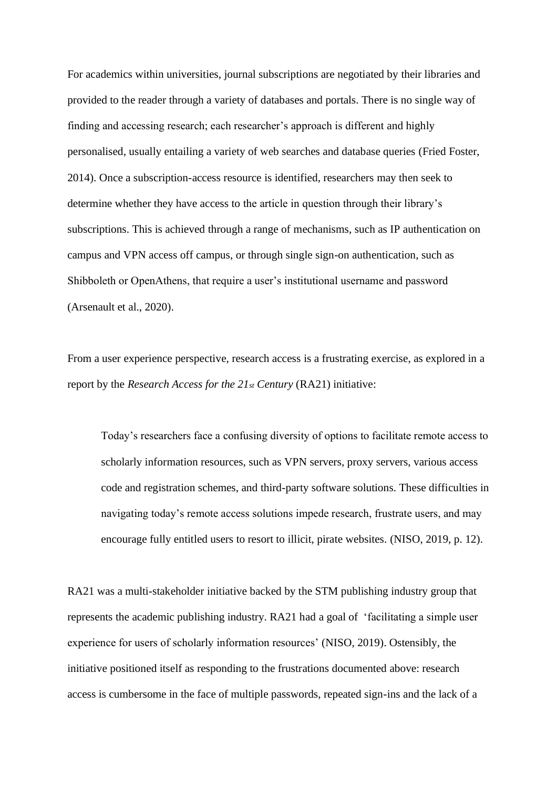For academics within universities, journal subscriptions are negotiated by their libraries and provided to the reader through a variety of databases and portals. There is no single way of finding and accessing research; each researcher's approach is different and highly personalised, usually entailing a variety of web searches and database queries (Fried Foster, 2014). Once a subscription-access resource is identified, researchers may then seek to determine whether they have access to the article in question through their library's subscriptions. This is achieved through a range of mechanisms, such as IP authentication on campus and VPN access off campus, or through single sign-on authentication, such as Shibboleth or OpenAthens, that require a user's institutional username and password (Arsenault et al., 2020).

From a user experience perspective, research access is a frustrating exercise, as explored in a report by the *Research Access for the 21st Century* (RA21) initiative:

Today's researchers face a confusing diversity of options to facilitate remote access to scholarly information resources, such as VPN servers, proxy servers, various access code and registration schemes, and third-party software solutions. These difficulties in navigating today's remote access solutions impede research, frustrate users, and may encourage fully entitled users to resort to illicit, pirate websites. (NISO, 2019, p. 12).

RA21 was a multi-stakeholder initiative backed by the STM publishing industry group that represents the academic publishing industry. RA21 had a goal of 'facilitating a simple user experience for users of scholarly information resources' (NISO, 2019). Ostensibly, the initiative positioned itself as responding to the frustrations documented above: research access is cumbersome in the face of multiple passwords, repeated sign-ins and the lack of a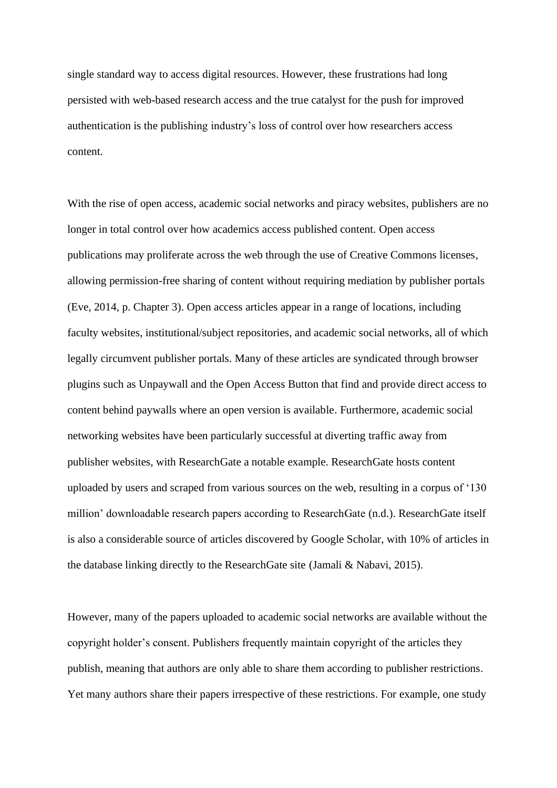single standard way to access digital resources. However, these frustrations had long persisted with web-based research access and the true catalyst for the push for improved authentication is the publishing industry's loss of control over how researchers access content.

With the rise of open access, academic social networks and piracy websites, publishers are no longer in total control over how academics access published content. Open access publications may proliferate across the web through the use of Creative Commons licenses, allowing permission-free sharing of content without requiring mediation by publisher portals (Eve, 2014, p. Chapter 3). Open access articles appear in a range of locations, including faculty websites, institutional/subject repositories, and academic social networks, all of which legally circumvent publisher portals. Many of these articles are syndicated through browser plugins such as Unpaywall and the Open Access Button that find and provide direct access to content behind paywalls where an open version is available. Furthermore, academic social networking websites have been particularly successful at diverting traffic away from publisher websites, with ResearchGate a notable example. ResearchGate hosts content uploaded by users and scraped from various sources on the web, resulting in a corpus of '130 million' downloadable research papers according to ResearchGate (n.d.). ResearchGate itself is also a considerable source of articles discovered by Google Scholar, with 10% of articles in the database linking directly to the ResearchGate site (Jamali & Nabavi, 2015).

However, many of the papers uploaded to academic social networks are available without the copyright holder's consent. Publishers frequently maintain copyright of the articles they publish, meaning that authors are only able to share them according to publisher restrictions. Yet many authors share their papers irrespective of these restrictions. For example, one study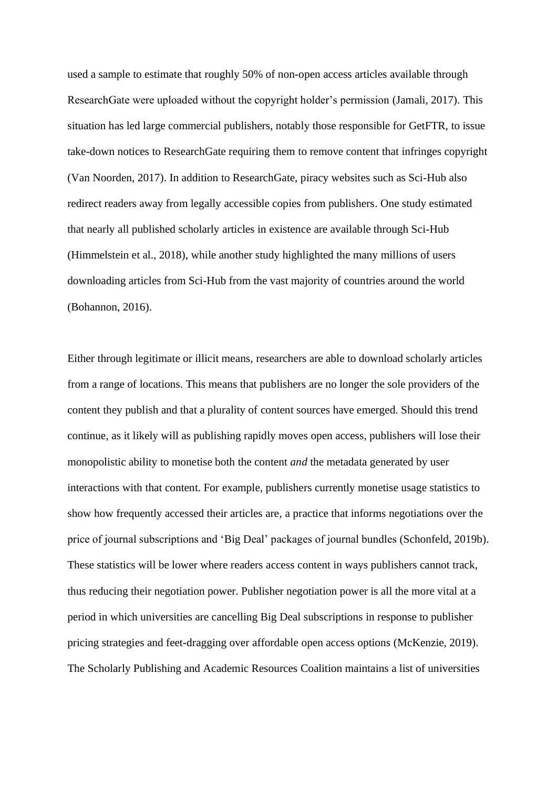used a sample to estimate that roughly 50% of non-open access articles available through ResearchGate were uploaded without the copyright holder's permission (Jamali, 2017). This situation has led large commercial publishers, notably those responsible for GetFTR, to issue take-down notices to ResearchGate requiring them to remove content that infringes copyright (Van Noorden, 2017). In addition to ResearchGate, piracy websites such as Sci-Hub also redirect readers away from legally accessible copies from publishers. One study estimated that nearly all published scholarly articles in existence are available through Sci-Hub (Himmelstein et al., 2018), while another study highlighted the many millions of users downloading articles from Sci-Hub from the vast majority of countries around the world (Bohannon, 2016).

Either through legitimate or illicit means, researchers are able to download scholarly articles from a range of locations. This means that publishers are no longer the sole providers of the content they publish and that a plurality of content sources have emerged. Should this trend continue, as it likely will as publishing rapidly moves open access, publishers will lose their monopolistic ability to monetise both the content *and* the metadata generated by user interactions with that content. For example, publishers currently monetise usage statistics to show how frequently accessed their articles are, a practice that informs negotiations over the price of journal subscriptions and 'Big Deal' packages of journal bundles (Schonfeld, 2019b). These statistics will be lower where readers access content in ways publishers cannot track, thus reducing their negotiation power. Publisher negotiation power is all the more vital at a period in which universities are cancelling Big Deal subscriptions in response to publisher pricing strategies and feet-dragging over affordable open access options (McKenzie, 2019). The Scholarly Publishing and Academic Resources Coalition maintains a list of universities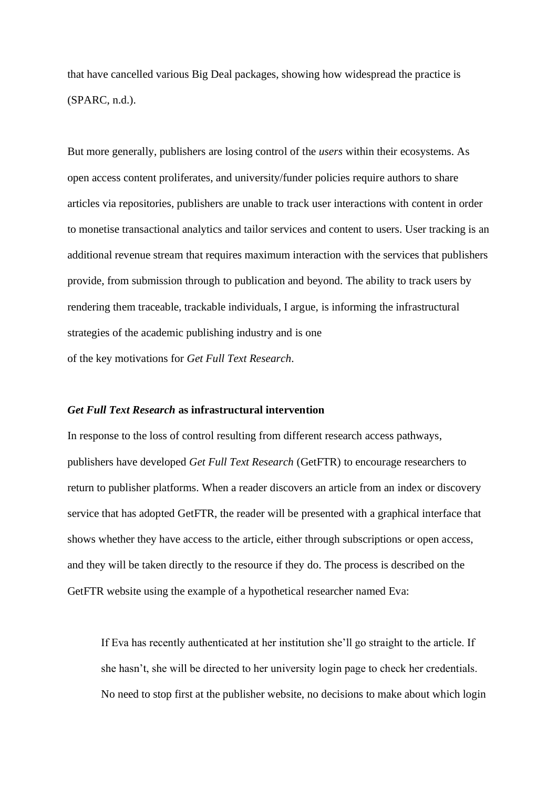that have cancelled various Big Deal packages, showing how widespread the practice is (SPARC, n.d.).

But more generally, publishers are losing control of the *users* within their ecosystems. As open access content proliferates, and university/funder policies require authors to share articles via repositories, publishers are unable to track user interactions with content in order to monetise transactional analytics and tailor services and content to users. User tracking is an additional revenue stream that requires maximum interaction with the services that publishers provide, from submission through to publication and beyond. The ability to track users by rendering them traceable, trackable individuals, I argue, is informing the infrastructural strategies of the academic publishing industry and is one of the key motivations for *Get Full Text Research*.

#### *Get Full Text Research* **as infrastructural intervention**

In response to the loss of control resulting from different research access pathways, publishers have developed *Get Full Text Research* (GetFTR) to encourage researchers to return to publisher platforms. When a reader discovers an article from an index or discovery service that has adopted GetFTR, the reader will be presented with a graphical interface that shows whether they have access to the article, either through subscriptions or open access, and they will be taken directly to the resource if they do. The process is described on the GetFTR website using the example of a hypothetical researcher named Eva:

If Eva has recently authenticated at her institution she'll go straight to the article. If she hasn't, she will be directed to her university login page to check her credentials. No need to stop first at the publisher website, no decisions to make about which login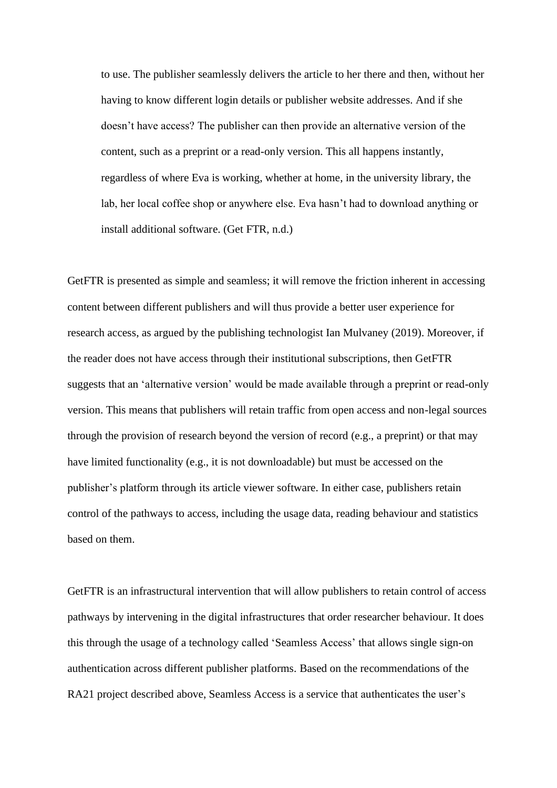to use. The publisher seamlessly delivers the article to her there and then, without her having to know different login details or publisher website addresses. And if she doesn't have access? The publisher can then provide an alternative version of the content, such as a preprint or a read-only version. This all happens instantly, regardless of where Eva is working, whether at home, in the university library, the lab, her local coffee shop or anywhere else. Eva hasn't had to download anything or install additional software. (Get FTR, n.d.)

GetFTR is presented as simple and seamless; it will remove the friction inherent in accessing content between different publishers and will thus provide a better user experience for research access, as argued by the publishing technologist Ian Mulvaney (2019). Moreover, if the reader does not have access through their institutional subscriptions, then GetFTR suggests that an 'alternative version' would be made available through a preprint or read-only version. This means that publishers will retain traffic from open access and non-legal sources through the provision of research beyond the version of record (e.g., a preprint) or that may have limited functionality (e.g., it is not downloadable) but must be accessed on the publisher's platform through its article viewer software. In either case, publishers retain control of the pathways to access, including the usage data, reading behaviour and statistics based on them.

GetFTR is an infrastructural intervention that will allow publishers to retain control of access pathways by intervening in the digital infrastructures that order researcher behaviour. It does this through the usage of a technology called 'Seamless Access' that allows single sign-on authentication across different publisher platforms. Based on the recommendations of the RA21 project described above, Seamless Access is a service that authenticates the user's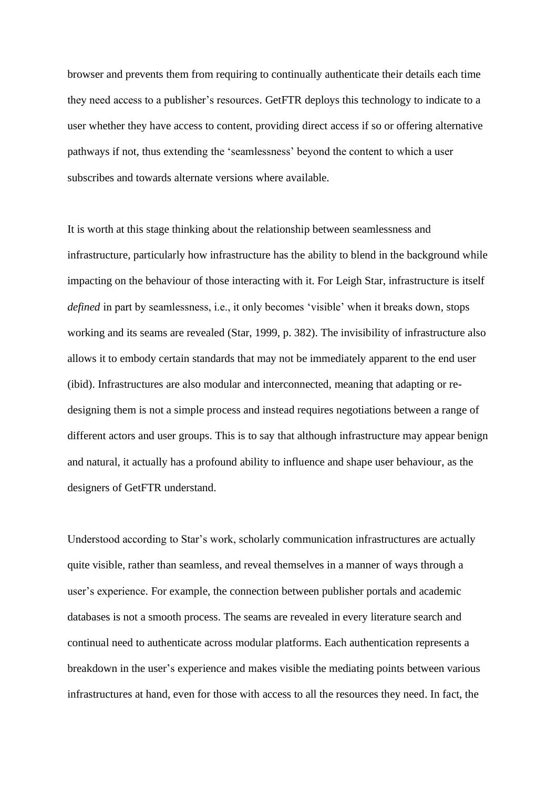browser and prevents them from requiring to continually authenticate their details each time they need access to a publisher's resources. GetFTR deploys this technology to indicate to a user whether they have access to content, providing direct access if so or offering alternative pathways if not, thus extending the 'seamlessness' beyond the content to which a user subscribes and towards alternate versions where available.

It is worth at this stage thinking about the relationship between seamlessness and infrastructure, particularly how infrastructure has the ability to blend in the background while impacting on the behaviour of those interacting with it. For Leigh Star, infrastructure is itself *defined* in part by seamlessness, i.e., it only becomes 'visible' when it breaks down, stops working and its seams are revealed (Star, 1999, p. 382). The invisibility of infrastructure also allows it to embody certain standards that may not be immediately apparent to the end user (ibid). Infrastructures are also modular and interconnected, meaning that adapting or redesigning them is not a simple process and instead requires negotiations between a range of different actors and user groups. This is to say that although infrastructure may appear benign and natural, it actually has a profound ability to influence and shape user behaviour, as the designers of GetFTR understand.

Understood according to Star's work, scholarly communication infrastructures are actually quite visible, rather than seamless, and reveal themselves in a manner of ways through a user's experience. For example, the connection between publisher portals and academic databases is not a smooth process. The seams are revealed in every literature search and continual need to authenticate across modular platforms. Each authentication represents a breakdown in the user's experience and makes visible the mediating points between various infrastructures at hand, even for those with access to all the resources they need. In fact, the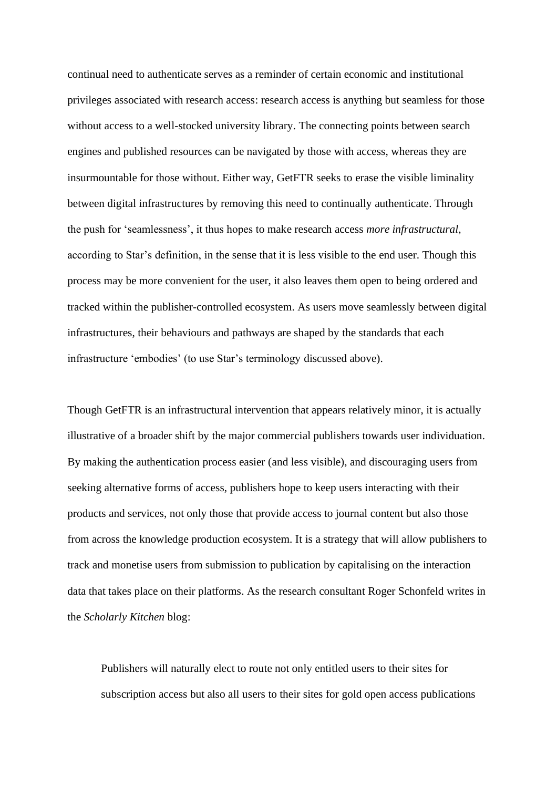continual need to authenticate serves as a reminder of certain economic and institutional privileges associated with research access: research access is anything but seamless for those without access to a well-stocked university library. The connecting points between search engines and published resources can be navigated by those with access, whereas they are insurmountable for those without. Either way, GetFTR seeks to erase the visible liminality between digital infrastructures by removing this need to continually authenticate. Through the push for 'seamlessness', it thus hopes to make research access *more infrastructural*, according to Star's definition, in the sense that it is less visible to the end user. Though this process may be more convenient for the user, it also leaves them open to being ordered and tracked within the publisher-controlled ecosystem. As users move seamlessly between digital infrastructures, their behaviours and pathways are shaped by the standards that each infrastructure 'embodies' (to use Star's terminology discussed above).

Though GetFTR is an infrastructural intervention that appears relatively minor, it is actually illustrative of a broader shift by the major commercial publishers towards user individuation. By making the authentication process easier (and less visible), and discouraging users from seeking alternative forms of access, publishers hope to keep users interacting with their products and services, not only those that provide access to journal content but also those from across the knowledge production ecosystem. It is a strategy that will allow publishers to track and monetise users from submission to publication by capitalising on the interaction data that takes place on their platforms. As the research consultant Roger Schonfeld writes in the *Scholarly Kitchen* blog:

Publishers will naturally elect to route not only entitled users to their sites for subscription access but also all users to their sites for gold open access publications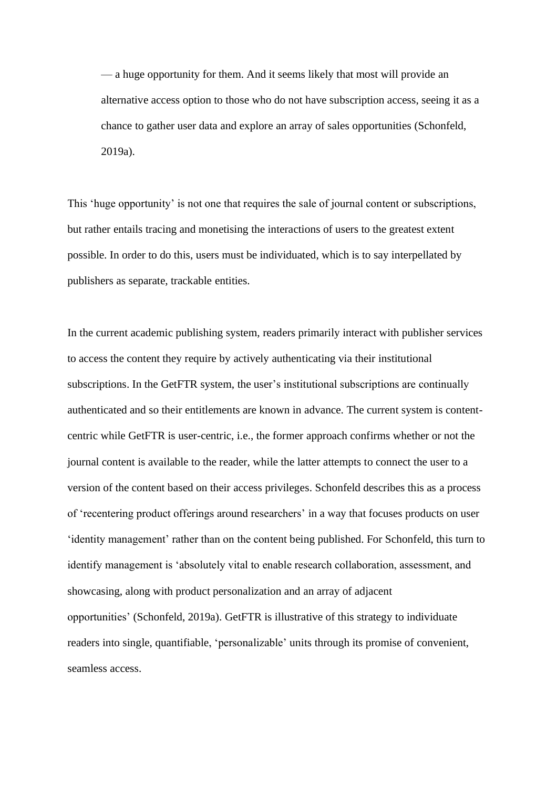— a huge opportunity for them. And it seems likely that most will provide an alternative access option to those who do not have subscription access, seeing it as a chance to gather user data and explore an array of sales opportunities (Schonfeld, 2019a).

This 'huge opportunity' is not one that requires the sale of journal content or subscriptions, but rather entails tracing and monetising the interactions of users to the greatest extent possible. In order to do this, users must be individuated, which is to say interpellated by publishers as separate, trackable entities.

In the current academic publishing system, readers primarily interact with publisher services to access the content they require by actively authenticating via their institutional subscriptions. In the GetFTR system, the user's institutional subscriptions are continually authenticated and so their entitlements are known in advance. The current system is contentcentric while GetFTR is user-centric, i.e., the former approach confirms whether or not the journal content is available to the reader, while the latter attempts to connect the user to a version of the content based on their access privileges. Schonfeld describes this as a process of 'recentering product offerings around researchers' in a way that focuses products on user 'identity management' rather than on the content being published. For Schonfeld, this turn to identify management is 'absolutely vital to enable research collaboration, assessment, and showcasing, along with product personalization and an array of adjacent opportunities' (Schonfeld, 2019a). GetFTR is illustrative of this strategy to individuate readers into single, quantifiable, 'personalizable' units through its promise of convenient, seamless access.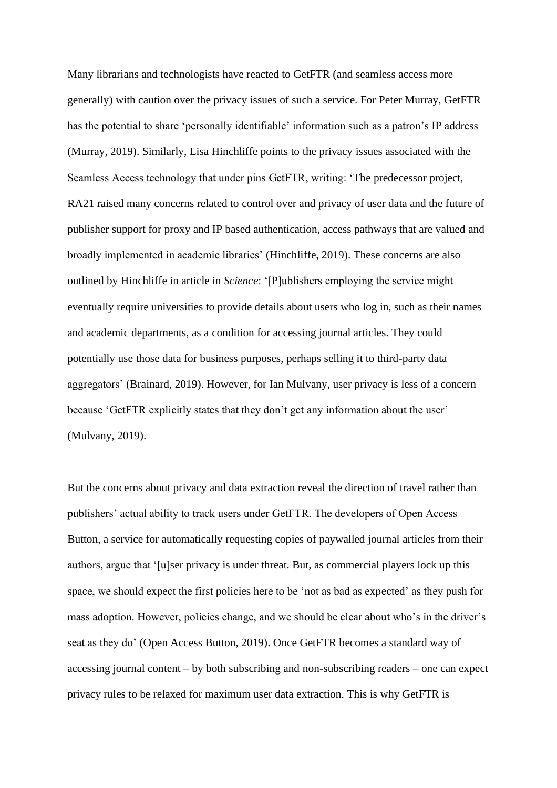Many librarians and technologists have reacted to GetFTR (and seamless access more generally) with caution over the privacy issues of such a service. For Peter Murray, GetFTR has the potential to share 'personally identifiable' information such as a patron's IP address (Murray, 2019). Similarly, Lisa Hinchliffe points to the privacy issues associated with the Seamless Access technology that under pins GetFTR, writing: 'The predecessor project, RA21 raised many concerns related to control over and privacy of user data and the future of publisher support for proxy and IP based authentication, access pathways that are valued and broadly implemented in academic libraries' (Hinchliffe, 2019). These concerns are also outlined by Hinchliffe in article in *Science*: '[P]ublishers employing the service might eventually require universities to provide details about users who log in, such as their names and academic departments, as a condition for accessing journal articles. They could potentially use those data for business purposes, perhaps selling it to third-party data aggregators' (Brainard, 2019). However, for Ian Mulvany, user privacy is less of a concern because 'GetFTR explicitly states that they don't get any information about the user' (Mulvany, 2019).

But the concerns about privacy and data extraction reveal the direction of travel rather than publishers' actual ability to track users under GetFTR. The developers of Open Access Button, a service for automatically requesting copies of paywalled journal articles from their authors, argue that '[u]ser privacy is under threat. But, as commercial players lock up this space, we should expect the first policies here to be 'not as bad as expected' as they push for mass adoption. However, policies change, and we should be clear about who's in the driver's seat as they do' (Open Access Button, 2019). Once GetFTR becomes a standard way of accessing journal content – by both subscribing and non-subscribing readers – one can expect privacy rules to be relaxed for maximum user data extraction. This is why GetFTR is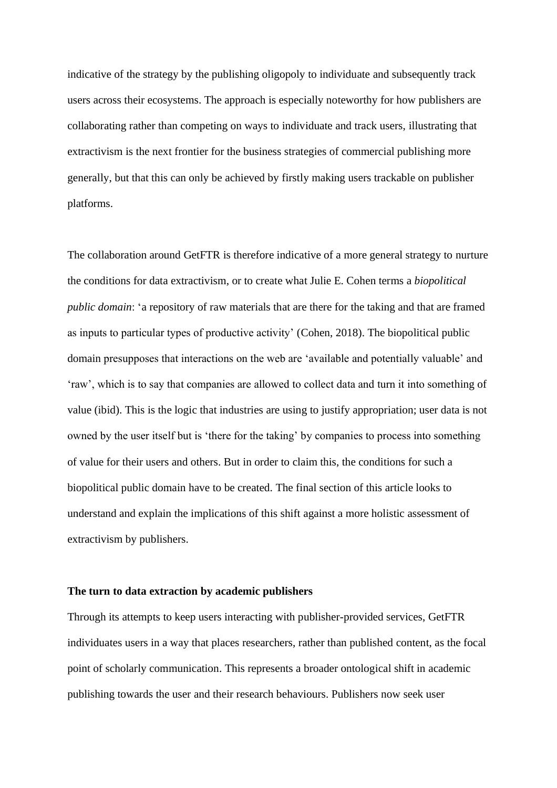indicative of the strategy by the publishing oligopoly to individuate and subsequently track users across their ecosystems. The approach is especially noteworthy for how publishers are collaborating rather than competing on ways to individuate and track users, illustrating that extractivism is the next frontier for the business strategies of commercial publishing more generally, but that this can only be achieved by firstly making users trackable on publisher platforms.

The collaboration around GetFTR is therefore indicative of a more general strategy to nurture the conditions for data extractivism, or to create what Julie E. Cohen terms a *biopolitical public domain*: 'a repository of raw materials that are there for the taking and that are framed as inputs to particular types of productive activity' (Cohen, 2018). The biopolitical public domain presupposes that interactions on the web are 'available and potentially valuable' and 'raw', which is to say that companies are allowed to collect data and turn it into something of value (ibid). This is the logic that industries are using to justify appropriation; user data is not owned by the user itself but is 'there for the taking' by companies to process into something of value for their users and others. But in order to claim this, the conditions for such a biopolitical public domain have to be created. The final section of this article looks to understand and explain the implications of this shift against a more holistic assessment of extractivism by publishers.

#### **The turn to data extraction by academic publishers**

Through its attempts to keep users interacting with publisher-provided services, GetFTR individuates users in a way that places researchers, rather than published content, as the focal point of scholarly communication. This represents a broader ontological shift in academic publishing towards the user and their research behaviours. Publishers now seek user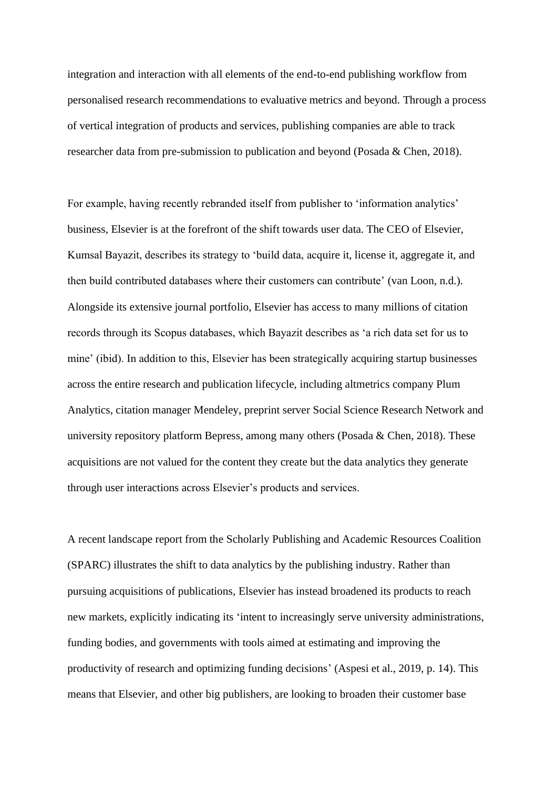integration and interaction with all elements of the end-to-end publishing workflow from personalised research recommendations to evaluative metrics and beyond. Through a process of vertical integration of products and services, publishing companies are able to track researcher data from pre-submission to publication and beyond (Posada & Chen, 2018).

For example, having recently rebranded itself from publisher to 'information analytics' business, Elsevier is at the forefront of the shift towards user data. The CEO of Elsevier, Kumsal Bayazit, describes its strategy to 'build data, acquire it, license it, aggregate it, and then build contributed databases where their customers can contribute' (van Loon, n.d.). Alongside its extensive journal portfolio, Elsevier has access to many millions of citation records through its Scopus databases, which Bayazit describes as 'a rich data set for us to mine' (ibid). In addition to this, Elsevier has been strategically acquiring startup businesses across the entire research and publication lifecycle, including altmetrics company Plum Analytics, citation manager Mendeley, preprint server Social Science Research Network and university repository platform Bepress, among many others (Posada & Chen, 2018). These acquisitions are not valued for the content they create but the data analytics they generate through user interactions across Elsevier's products and services.

A recent landscape report from the Scholarly Publishing and Academic Resources Coalition (SPARC) illustrates the shift to data analytics by the publishing industry. Rather than pursuing acquisitions of publications, Elsevier has instead broadened its products to reach new markets, explicitly indicating its 'intent to increasingly serve university administrations, funding bodies, and governments with tools aimed at estimating and improving the productivity of research and optimizing funding decisions' (Aspesi et al., 2019, p. 14). This means that Elsevier, and other big publishers, are looking to broaden their customer base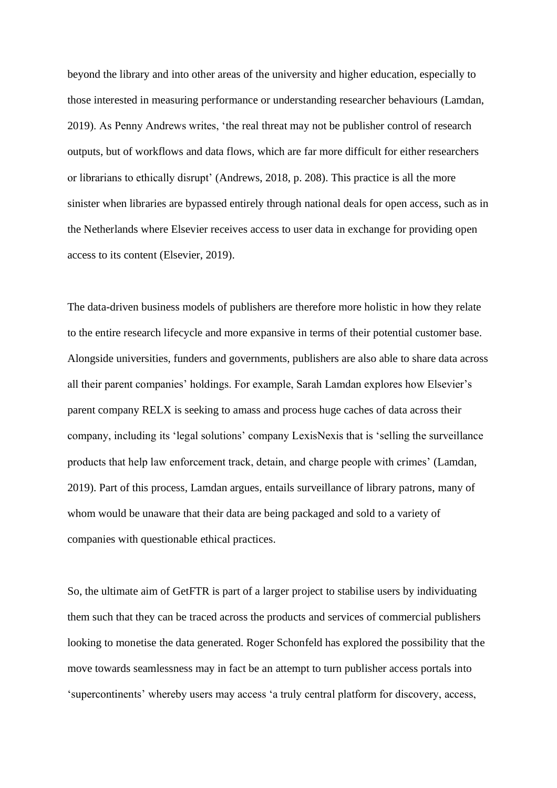beyond the library and into other areas of the university and higher education, especially to those interested in measuring performance or understanding researcher behaviours (Lamdan, 2019). As Penny Andrews writes, 'the real threat may not be publisher control of research outputs, but of workflows and data flows, which are far more difficult for either researchers or librarians to ethically disrupt' (Andrews, 2018, p. 208). This practice is all the more sinister when libraries are bypassed entirely through national deals for open access, such as in the Netherlands where Elsevier receives access to user data in exchange for providing open access to its content (Elsevier, 2019).

The data-driven business models of publishers are therefore more holistic in how they relate to the entire research lifecycle and more expansive in terms of their potential customer base. Alongside universities, funders and governments, publishers are also able to share data across all their parent companies' holdings. For example, Sarah Lamdan explores how Elsevier's parent company RELX is seeking to amass and process huge caches of data across their company, including its 'legal solutions' company LexisNexis that is 'selling the surveillance products that help law enforcement track, detain, and charge people with crimes' (Lamdan, 2019). Part of this process, Lamdan argues, entails surveillance of library patrons, many of whom would be unaware that their data are being packaged and sold to a variety of companies with questionable ethical practices.

So, the ultimate aim of GetFTR is part of a larger project to stabilise users by individuating them such that they can be traced across the products and services of commercial publishers looking to monetise the data generated. Roger Schonfeld has explored the possibility that the move towards seamlessness may in fact be an attempt to turn publisher access portals into 'supercontinents' whereby users may access 'a truly central platform for discovery, access,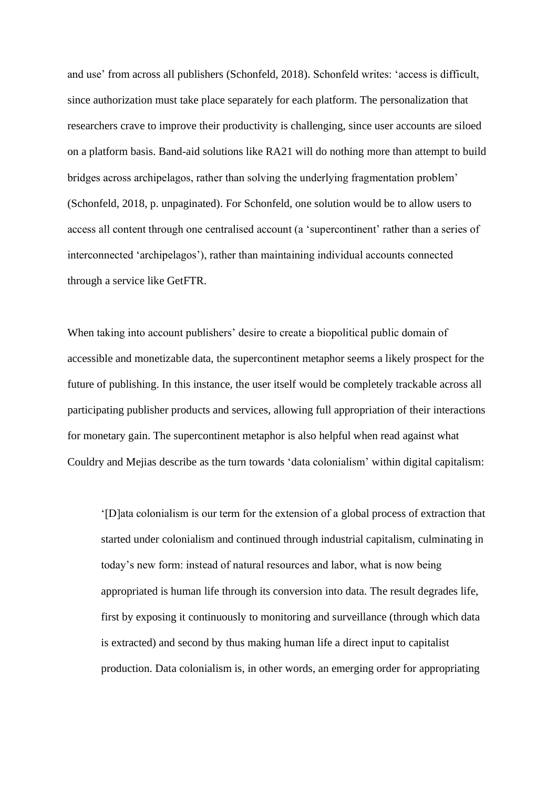and use' from across all publishers (Schonfeld, 2018). Schonfeld writes: 'access is difficult, since authorization must take place separately for each platform. The personalization that researchers crave to improve their productivity is challenging, since user accounts are siloed on a platform basis. Band-aid solutions like RA21 will do nothing more than attempt to build bridges across archipelagos, rather than solving the underlying fragmentation problem' (Schonfeld, 2018, p. unpaginated). For Schonfeld, one solution would be to allow users to access all content through one centralised account (a 'supercontinent' rather than a series of interconnected 'archipelagos'), rather than maintaining individual accounts connected through a service like GetFTR.

When taking into account publishers' desire to create a biopolitical public domain of accessible and monetizable data, the supercontinent metaphor seems a likely prospect for the future of publishing. In this instance, the user itself would be completely trackable across all participating publisher products and services, allowing full appropriation of their interactions for monetary gain. The supercontinent metaphor is also helpful when read against what Couldry and Mejias describe as the turn towards 'data colonialism' within digital capitalism:

'[D]ata colonialism is our term for the extension of a global process of extraction that started under colonialism and continued through industrial capitalism, culminating in today's new form: instead of natural resources and labor, what is now being appropriated is human life through its conversion into data. The result degrades life, first by exposing it continuously to monitoring and surveillance (through which data is extracted) and second by thus making human life a direct input to capitalist production. Data colonialism is, in other words, an emerging order for appropriating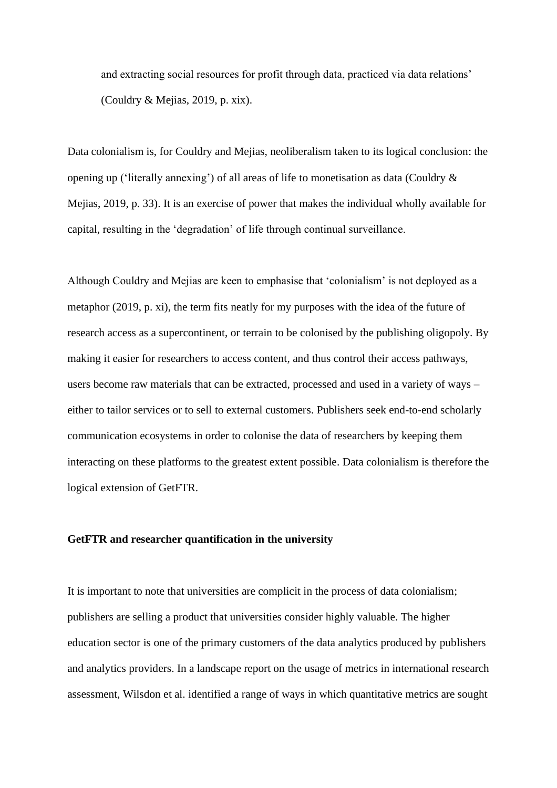and extracting social resources for profit through data, practiced via data relations' (Couldry & Mejias, 2019, p. xix).

Data colonialism is, for Couldry and Mejias, neoliberalism taken to its logical conclusion: the opening up ('literally annexing') of all areas of life to monetisation as data (Couldry & Mejias, 2019, p. 33). It is an exercise of power that makes the individual wholly available for capital, resulting in the 'degradation' of life through continual surveillance.

Although Couldry and Mejias are keen to emphasise that 'colonialism' is not deployed as a metaphor (2019, p. xi), the term fits neatly for my purposes with the idea of the future of research access as a supercontinent, or terrain to be colonised by the publishing oligopoly. By making it easier for researchers to access content, and thus control their access pathways, users become raw materials that can be extracted, processed and used in a variety of ways – either to tailor services or to sell to external customers. Publishers seek end-to-end scholarly communication ecosystems in order to colonise the data of researchers by keeping them interacting on these platforms to the greatest extent possible. Data colonialism is therefore the logical extension of GetFTR.

## **GetFTR and researcher quantification in the university**

It is important to note that universities are complicit in the process of data colonialism; publishers are selling a product that universities consider highly valuable. The higher education sector is one of the primary customers of the data analytics produced by publishers and analytics providers. In a landscape report on the usage of metrics in international research assessment, Wilsdon et al. identified a range of ways in which quantitative metrics are sought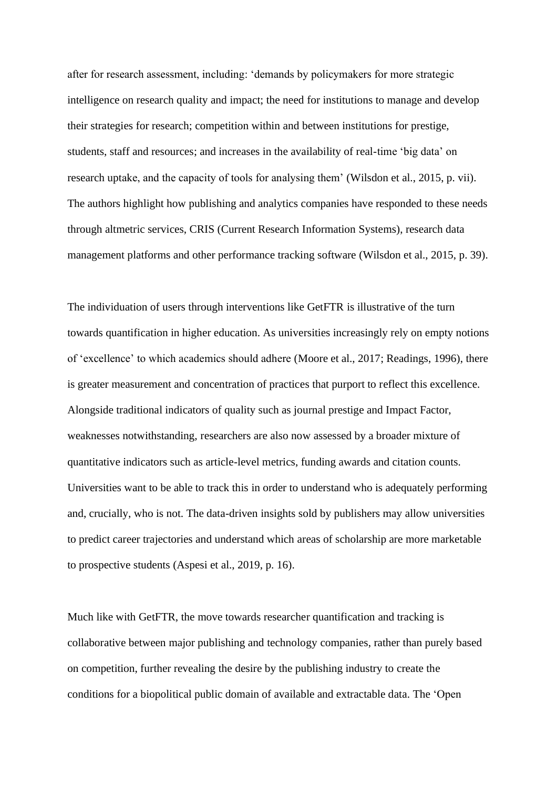after for research assessment, including: 'demands by policymakers for more strategic intelligence on research quality and impact; the need for institutions to manage and develop their strategies for research; competition within and between institutions for prestige, students, staff and resources; and increases in the availability of real-time 'big data' on research uptake, and the capacity of tools for analysing them' (Wilsdon et al., 2015, p. vii). The authors highlight how publishing and analytics companies have responded to these needs through altmetric services, CRIS (Current Research Information Systems), research data management platforms and other performance tracking software (Wilsdon et al., 2015, p. 39).

The individuation of users through interventions like GetFTR is illustrative of the turn towards quantification in higher education. As universities increasingly rely on empty notions of 'excellence' to which academics should adhere (Moore et al., 2017; Readings, 1996), there is greater measurement and concentration of practices that purport to reflect this excellence. Alongside traditional indicators of quality such as journal prestige and Impact Factor, weaknesses notwithstanding, researchers are also now assessed by a broader mixture of quantitative indicators such as article-level metrics, funding awards and citation counts. Universities want to be able to track this in order to understand who is adequately performing and, crucially, who is not. The data-driven insights sold by publishers may allow universities to predict career trajectories and understand which areas of scholarship are more marketable to prospective students (Aspesi et al., 2019, p. 16).

Much like with GetFTR, the move towards researcher quantification and tracking is collaborative between major publishing and technology companies, rather than purely based on competition, further revealing the desire by the publishing industry to create the conditions for a biopolitical public domain of available and extractable data. The 'Open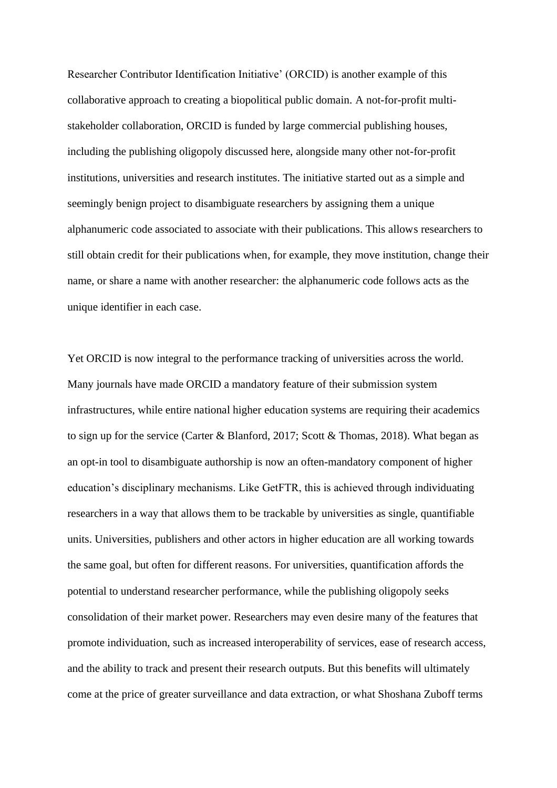Researcher Contributor Identification Initiative' (ORCID) is another example of this collaborative approach to creating a biopolitical public domain. A not-for-profit multistakeholder collaboration, ORCID is funded by large commercial publishing houses, including the publishing oligopoly discussed here, alongside many other not-for-profit institutions, universities and research institutes. The initiative started out as a simple and seemingly benign project to disambiguate researchers by assigning them a unique alphanumeric code associated to associate with their publications. This allows researchers to still obtain credit for their publications when, for example, they move institution, change their name, or share a name with another researcher: the alphanumeric code follows acts as the unique identifier in each case.

Yet ORCID is now integral to the performance tracking of universities across the world. Many journals have made ORCID a mandatory feature of their submission system infrastructures, while entire national higher education systems are requiring their academics to sign up for the service (Carter & Blanford, 2017; Scott & Thomas, 2018). What began as an opt-in tool to disambiguate authorship is now an often-mandatory component of higher education's disciplinary mechanisms. Like GetFTR, this is achieved through individuating researchers in a way that allows them to be trackable by universities as single, quantifiable units. Universities, publishers and other actors in higher education are all working towards the same goal, but often for different reasons. For universities, quantification affords the potential to understand researcher performance, while the publishing oligopoly seeks consolidation of their market power. Researchers may even desire many of the features that promote individuation, such as increased interoperability of services, ease of research access, and the ability to track and present their research outputs. But this benefits will ultimately come at the price of greater surveillance and data extraction, or what Shoshana Zuboff terms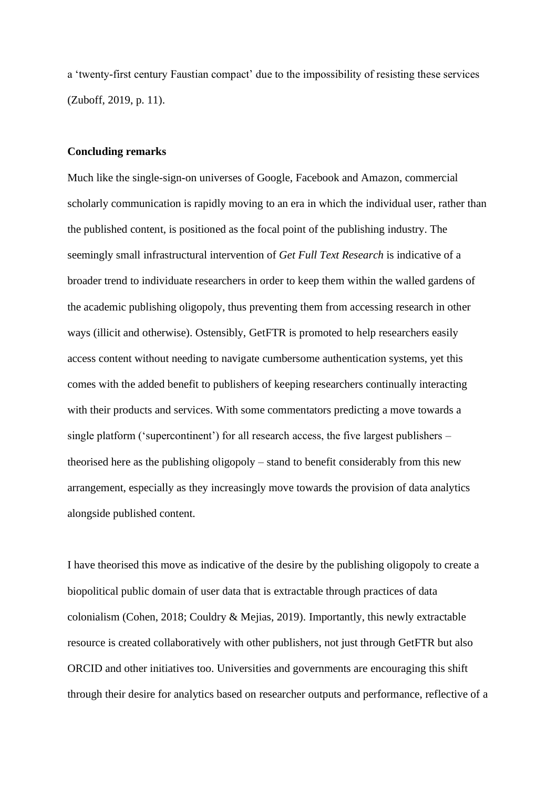a 'twenty-first century Faustian compact' due to the impossibility of resisting these services (Zuboff, 2019, p. 11).

#### **Concluding remarks**

Much like the single-sign-on universes of Google, Facebook and Amazon, commercial scholarly communication is rapidly moving to an era in which the individual user, rather than the published content, is positioned as the focal point of the publishing industry. The seemingly small infrastructural intervention of *Get Full Text Research* is indicative of a broader trend to individuate researchers in order to keep them within the walled gardens of the academic publishing oligopoly, thus preventing them from accessing research in other ways (illicit and otherwise). Ostensibly, GetFTR is promoted to help researchers easily access content without needing to navigate cumbersome authentication systems, yet this comes with the added benefit to publishers of keeping researchers continually interacting with their products and services. With some commentators predicting a move towards a single platform ('supercontinent') for all research access, the five largest publishers – theorised here as the publishing oligopoly – stand to benefit considerably from this new arrangement, especially as they increasingly move towards the provision of data analytics alongside published content.

I have theorised this move as indicative of the desire by the publishing oligopoly to create a biopolitical public domain of user data that is extractable through practices of data colonialism (Cohen, 2018; Couldry & Mejias, 2019). Importantly, this newly extractable resource is created collaboratively with other publishers, not just through GetFTR but also ORCID and other initiatives too. Universities and governments are encouraging this shift through their desire for analytics based on researcher outputs and performance, reflective of a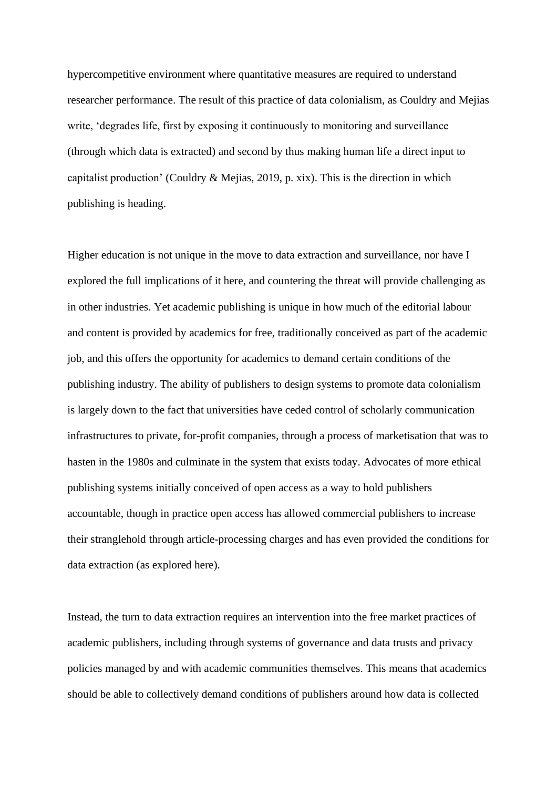hypercompetitive environment where quantitative measures are required to understand researcher performance. The result of this practice of data colonialism, as Couldry and Mejias write, 'degrades life, first by exposing it continuously to monitoring and surveillance (through which data is extracted) and second by thus making human life a direct input to capitalist production' (Couldry & Mejias, 2019, p. xix). This is the direction in which publishing is heading.

Higher education is not unique in the move to data extraction and surveillance, nor have I explored the full implications of it here, and countering the threat will provide challenging as in other industries. Yet academic publishing is unique in how much of the editorial labour and content is provided by academics for free, traditionally conceived as part of the academic job, and this offers the opportunity for academics to demand certain conditions of the publishing industry. The ability of publishers to design systems to promote data colonialism is largely down to the fact that universities have ceded control of scholarly communication infrastructures to private, for-profit companies, through a process of marketisation that was to hasten in the 1980s and culminate in the system that exists today. Advocates of more ethical publishing systems initially conceived of open access as a way to hold publishers accountable, though in practice open access has allowed commercial publishers to increase their stranglehold through article-processing charges and has even provided the conditions for data extraction (as explored here).

Instead, the turn to data extraction requires an intervention into the free market practices of academic publishers, including through systems of governance and data trusts and privacy policies managed by and with academic communities themselves. This means that academics should be able to collectively demand conditions of publishers around how data is collected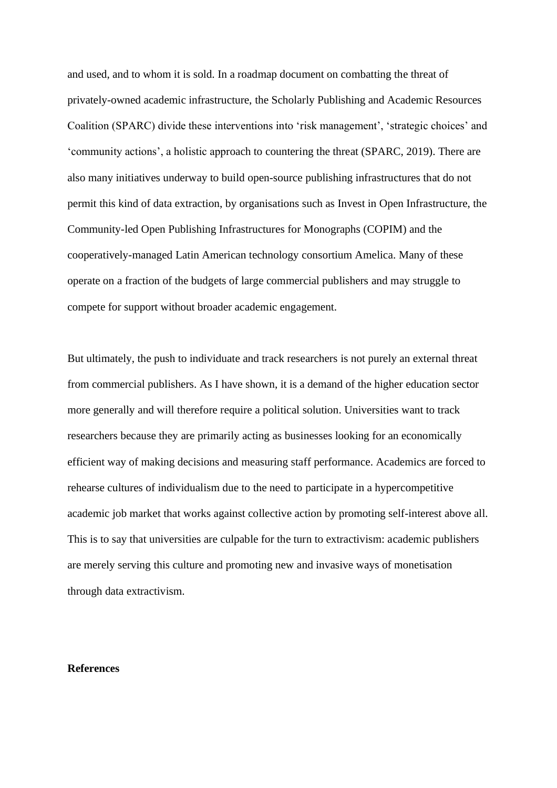and used, and to whom it is sold. In a roadmap document on combatting the threat of privately-owned academic infrastructure, the Scholarly Publishing and Academic Resources Coalition (SPARC) divide these interventions into 'risk management', 'strategic choices' and 'community actions', a holistic approach to countering the threat (SPARC, 2019). There are also many initiatives underway to build open-source publishing infrastructures that do not permit this kind of data extraction, by organisations such as Invest in Open Infrastructure, the Community-led Open Publishing Infrastructures for Monographs (COPIM) and the cooperatively-managed Latin American technology consortium Amelica. Many of these operate on a fraction of the budgets of large commercial publishers and may struggle to compete for support without broader academic engagement.

But ultimately, the push to individuate and track researchers is not purely an external threat from commercial publishers. As I have shown, it is a demand of the higher education sector more generally and will therefore require a political solution. Universities want to track researchers because they are primarily acting as businesses looking for an economically efficient way of making decisions and measuring staff performance. Academics are forced to rehearse cultures of individualism due to the need to participate in a hypercompetitive academic job market that works against collective action by promoting self-interest above all. This is to say that universities are culpable for the turn to extractivism: academic publishers are merely serving this culture and promoting new and invasive ways of monetisation through data extractivism.

#### **References**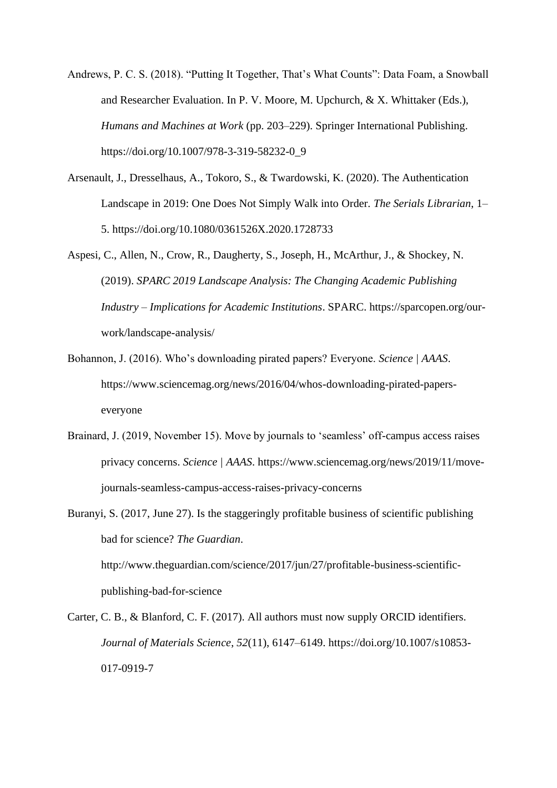- Andrews, P. C. S. (2018). "Putting It Together, That's What Counts": Data Foam, a Snowball and Researcher Evaluation. In P. V. Moore, M. Upchurch, & X. Whittaker (Eds.), *Humans and Machines at Work* (pp. 203–229). Springer International Publishing. https://doi.org/10.1007/978-3-319-58232-0\_9
- Arsenault, J., Dresselhaus, A., Tokoro, S., & Twardowski, K. (2020). The Authentication Landscape in 2019: One Does Not Simply Walk into Order. *The Serials Librarian*, 1– 5. https://doi.org/10.1080/0361526X.2020.1728733
- Aspesi, C., Allen, N., Crow, R., Daugherty, S., Joseph, H., McArthur, J., & Shockey, N. (2019). *SPARC 2019 Landscape Analysis: The Changing Academic Publishing Industry – Implications for Academic Institutions*. SPARC. https://sparcopen.org/ourwork/landscape-analysis/
- Bohannon, J. (2016). Who's downloading pirated papers? Everyone. *Science | AAAS*. https://www.sciencemag.org/news/2016/04/whos-downloading-pirated-paperseveryone
- Brainard, J. (2019, November 15). Move by journals to 'seamless' off-campus access raises privacy concerns. *Science | AAAS*. https://www.sciencemag.org/news/2019/11/movejournals-seamless-campus-access-raises-privacy-concerns
- Buranyi, S. (2017, June 27). Is the staggeringly profitable business of scientific publishing bad for science? *The Guardian*. http://www.theguardian.com/science/2017/jun/27/profitable-business-scientificpublishing-bad-for-science
- Carter, C. B., & Blanford, C. F. (2017). All authors must now supply ORCID identifiers. *Journal of Materials Science*, *52*(11), 6147–6149. https://doi.org/10.1007/s10853- 017-0919-7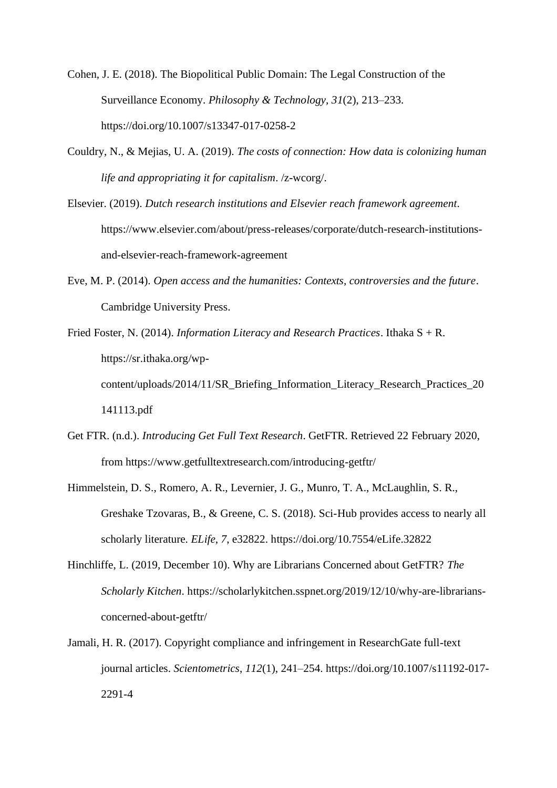Cohen, J. E. (2018). The Biopolitical Public Domain: The Legal Construction of the Surveillance Economy. *Philosophy & Technology*, *31*(2), 213–233. https://doi.org/10.1007/s13347-017-0258-2

- Couldry, N., & Mejias, U. A. (2019). *The costs of connection: How data is colonizing human life and appropriating it for capitalism*. /z-wcorg/.
- Elsevier. (2019). *Dutch research institutions and Elsevier reach framework agreement*. https://www.elsevier.com/about/press-releases/corporate/dutch-research-institutionsand-elsevier-reach-framework-agreement
- Eve, M. P. (2014). *Open access and the humanities: Contexts, controversies and the future*. Cambridge University Press.
- Fried Foster, N. (2014). *Information Literacy and Research Practices*. Ithaka S + R. https://sr.ithaka.org/wpcontent/uploads/2014/11/SR\_Briefing\_Information\_Literacy\_Research\_Practices\_20 141113.pdf
- Get FTR. (n.d.). *Introducing Get Full Text Research*. GetFTR. Retrieved 22 February 2020, from https://www.getfulltextresearch.com/introducing-getftr/
- Himmelstein, D. S., Romero, A. R., Levernier, J. G., Munro, T. A., McLaughlin, S. R., Greshake Tzovaras, B., & Greene, C. S. (2018). Sci-Hub provides access to nearly all scholarly literature. *ELife*, *7*, e32822. https://doi.org/10.7554/eLife.32822
- Hinchliffe, L. (2019, December 10). Why are Librarians Concerned about GetFTR? *The Scholarly Kitchen*. https://scholarlykitchen.sspnet.org/2019/12/10/why-are-librariansconcerned-about-getftr/
- Jamali, H. R. (2017). Copyright compliance and infringement in ResearchGate full-text journal articles. *Scientometrics*, *112*(1), 241–254. https://doi.org/10.1007/s11192-017- 2291-4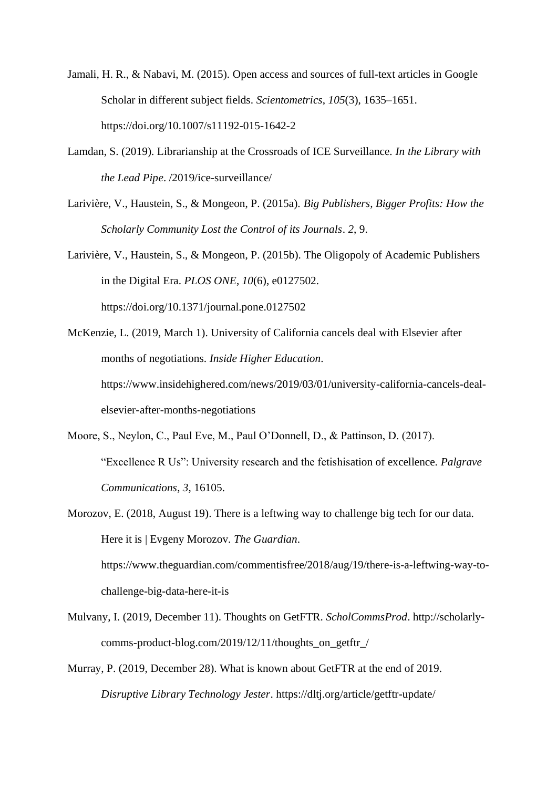- Jamali, H. R., & Nabavi, M. (2015). Open access and sources of full-text articles in Google Scholar in different subject fields. *Scientometrics*, *105*(3), 1635–1651. https://doi.org/10.1007/s11192-015-1642-2
- Lamdan, S. (2019). Librarianship at the Crossroads of ICE Surveillance. *In the Library with the Lead Pipe*. /2019/ice-surveillance/
- Larivière, V., Haustein, S., & Mongeon, P. (2015a). *Big Publishers, Bigger Profits: How the Scholarly Community Lost the Control of its Journals*. *2*, 9.
- Larivière, V., Haustein, S., & Mongeon, P. (2015b). The Oligopoly of Academic Publishers in the Digital Era. *PLOS ONE*, *10*(6), e0127502. https://doi.org/10.1371/journal.pone.0127502
- McKenzie, L. (2019, March 1). University of California cancels deal with Elsevier after months of negotiations. *Inside Higher Education*. https://www.insidehighered.com/news/2019/03/01/university-california-cancels-dealelsevier-after-months-negotiations
- Moore, S., Neylon, C., Paul Eve, M., Paul O'Donnell, D., & Pattinson, D. (2017). "Excellence R Us": University research and the fetishisation of excellence. *Palgrave Communications*, *3*, 16105.
- Morozov, E. (2018, August 19). There is a leftwing way to challenge big tech for our data. Here it is | Evgeny Morozov. *The Guardian*. https://www.theguardian.com/commentisfree/2018/aug/19/there-is-a-leftwing-way-tochallenge-big-data-here-it-is
- Mulvany, I. (2019, December 11). Thoughts on GetFTR. *ScholCommsProd*. http://scholarlycomms-product-blog.com/2019/12/11/thoughts\_on\_getftr\_/
- Murray, P. (2019, December 28). What is known about GetFTR at the end of 2019. *Disruptive Library Technology Jester*. https://dltj.org/article/getftr-update/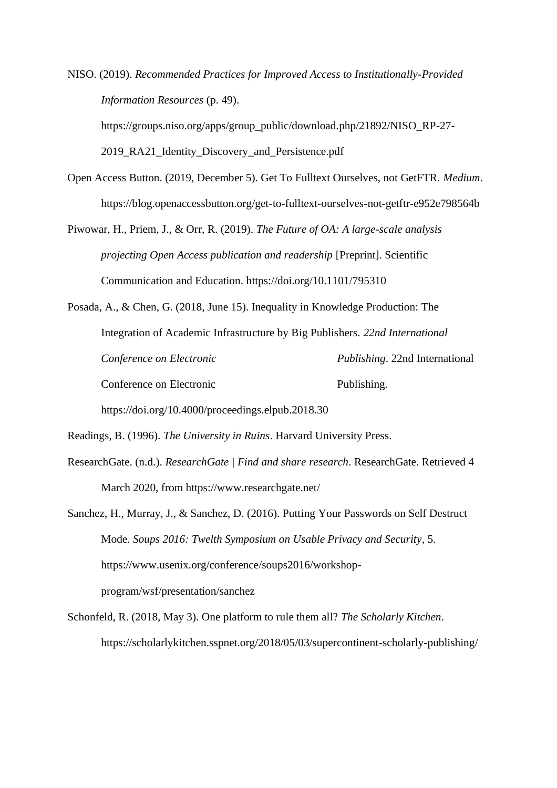NISO. (2019). *Recommended Practices for Improved Access to Institutionally-Provided Information Resources* (p. 49).

https://groups.niso.org/apps/group\_public/download.php/21892/NISO\_RP-27- 2019 RA21 Identity Discovery and Persistence.pdf

Open Access Button. (2019, December 5). Get To Fulltext Ourselves, not GetFTR. *Medium*. https://blog.openaccessbutton.org/get-to-fulltext-ourselves-not-getftr-e952e798564b

Piwowar, H., Priem, J., & Orr, R. (2019). *The Future of OA: A large-scale analysis projecting Open Access publication and readership* [Preprint]. Scientific Communication and Education. https://doi.org/10.1101/795310

Posada, A., & Chen, G. (2018, June 15). Inequality in Knowledge Production: The Integration of Academic Infrastructure by Big Publishers. *22nd International Conference on Electronic Publishing*. 22nd International Conference on Electronic Publishing.

https://doi.org/10.4000/proceedings.elpub.2018.30

Readings, B. (1996). *The University in Ruins*. Harvard University Press.

ResearchGate. (n.d.). *ResearchGate | Find and share research*. ResearchGate. Retrieved 4 March 2020, from https://www.researchgate.net/

Sanchez, H., Murray, J., & Sanchez, D. (2016). Putting Your Passwords on Self Destruct Mode. *Soups 2016: Twelth Symposium on Usable Privacy and Security*, 5. https://www.usenix.org/conference/soups2016/workshopprogram/wsf/presentation/sanchez

Schonfeld, R. (2018, May 3). One platform to rule them all? *The Scholarly Kitchen*. https://scholarlykitchen.sspnet.org/2018/05/03/supercontinent-scholarly-publishing/